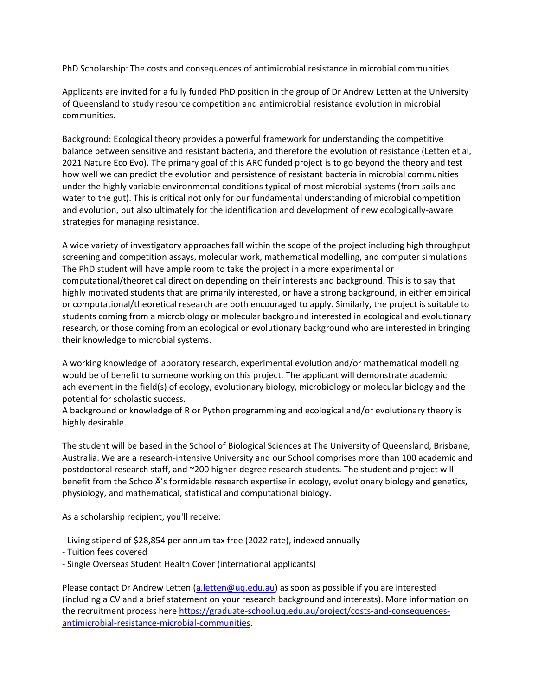PhD Scholarship: The costs and consequences of antimicrobial resistance in microbial communities

Applicants are invited for a fully funded PhD position in the group of Dr Andrew Letten at the University of Queensland to study resource competition and antimicrobial resistance evolution in microbial communities.

Background: Ecological theory provides a powerful framework for understanding the competitive balance between sensitive and resistant bacteria, and therefore the evolution of resistance (Letten et al, 2021 Nature Eco Evo). The primary goal of this ARC funded project is to go beyond the theory and test how well we can predict the evolution and persistence of resistant bacteria in microbial communities under the highly variable environmental conditions typical of most microbial systems (from soils and water to the gut). This is critical not only for our fundamental understanding of microbial competition and evolution, but also ultimately for the identification and development of new ecologically-aware strategies for managing resistance.

A wide variety of investigatory approaches fall within the scope of the project including high throughput screening and competition assays, molecular work, mathematical modelling, and computer simulations. The PhD student will have ample room to take the project in a more experimental or computational/theoretical direction depending on their interests and background. This is to say that highly motivated students that are primarily interested, or have a strong background, in either empirical or computational/theoretical research are both encouraged to apply. Similarly, the project is suitable to students coming from a microbiology or molecular background interested in ecological and evolutionary research, or those coming from an ecological or evolutionary background who are interested in bringing their knowledge to microbial systems.

A working knowledge of laboratory research, experimental evolution and/or mathematical modelling would be of benefit to someone working on this project. The applicant will demonstrate academic achievement in the field(s) of ecology, evolutionary biology, microbiology or molecular biology and the potential for scholastic success.

A background or knowledge of R or Python programming and ecological and/or evolutionary theory is highly desirable.

The student will be based in the School of Biological Sciences at The University of Queensland, Brisbane, Australia. We are a research-intensive University and our School comprises more than 100 academic and postdoctoral research staff, and ~200 higher-degree research students. The student and project will benefit from the SchoolÂ's formidable research expertise in ecology, evolutionary biology and genetics, physiology, and mathematical, statistical and computational biology.

As a scholarship recipient, you'll receive:

- Living stipend of \$28,854 per annum tax free (2022 rate), indexed annually
- Tuition fees covered
- Single Overseas Student Health Cover (international applicants)

Please contact Dr Andrew Letten [\(a.letten@uq.edu.au\)](mailto:a.letten@uq.edu.au) as soon as possible if you are interested (including a CV and a brief statement on your research background and interests). More information on the recruitment process here [https://graduate-school.uq.edu.au/project/costs-and-consequences](https://graduate-school.uq.edu.au/project/costs-and-consequences-antimicrobial-resistance-microbial-communities)[antimicrobial-resistance-microbial-communities.](https://graduate-school.uq.edu.au/project/costs-and-consequences-antimicrobial-resistance-microbial-communities)